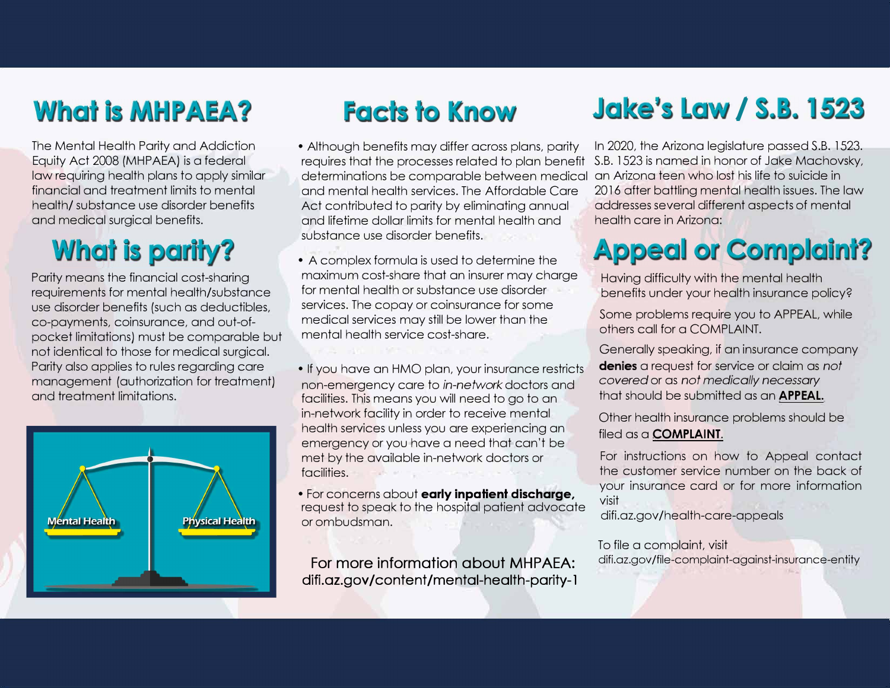# **What is MHPAEA?**

The Mental Health Parity and Addiction Equity Act 2008 (MHPAEA) is a federal law requiring health plans to apply similar financial and treatment limits to mental health/ substance use disorder benefits and medical surgical benefits.

## **What is parity?**

Parity means the financial cost-sharing requirements for mental health/substance use disorder benefits (such as deductibles, co-payments, coinsurance, and out-ofpocket limitations) must be comparable but not identical to those for medical surgical. Parity also applies to rules regarding care management (authorization for treatment) and treatment limitations.



### **Facts to Know**

- requires that the processes related to plan benefit  $\,$  S.B. 1523 is named in honor of Jake Machovsky,  $\,$ determinations be comparable between medical an Arizona teen who lost his life to suicide in  $\,$ • Although benefits may differ across plans, parity and mental health services. The Affordable Care Act contributed to parity by eliminating annual and lifetime dollar limits for mental health and substance use disorder benefits.
- A complex formula is used to determine the maximum cost-share that an insurer may charge for mental health or substance use disorder services. The copay or coinsurance for some medical services may still be lower than the mental health service cost-share.
- If you have an HMO plan, your insurance restricts non-emergency care to *in-network* doctors and facilities. This means you will need to go to an in-network facility in order to receive mental health services unless you are experiencing an emergency or you have a need that can't be met by the available in-network doctors or facilities .
- For concerns about **early inpatient discharge,**  request to speak to the hospital patient advocate or ombudsman.

**For more information about MHPAEA: difi.az.gov /content/mental-health-parity-1** 

### **Jake's Law / S.B. 1523**

In 2020, the Arizona legislature passed S.B. 1523. 2016 after battling mental health issues. The law addresses several different aspects of mental health care in Arizona:

# **Appeal or Complaint?**

Having difficulty with the mental health benefits under your health insurance policy?

Some problems require you to APPEAL, while others call for a COMPLAINT.

Generally speaking, if an insurance company **denies** a request for service or claim as *not covered* or as *not medically necessary*  that should be submitted as an **APPEAL.** 

Other health insurance problems should be filed as a **COMPLAINT.** 

For instructions on how to Appeal contact the customer service number on the back of your insurance card or for more information visit

difi.az.gov/health-care-appeals

To file a complaint, visit difi.az.gov/file-complaint-against-insurance-entity